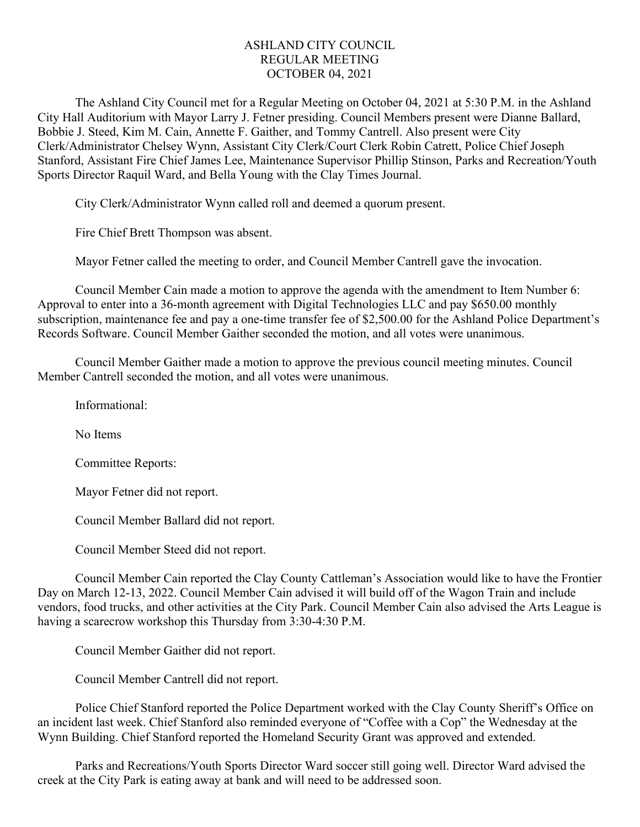## ASHLAND CITY COUNCIL REGULAR MEETING OCTOBER 04, 2021

The Ashland City Council met for a Regular Meeting on October 04, 2021 at 5:30 P.M. in the Ashland City Hall Auditorium with Mayor Larry J. Fetner presiding. Council Members present were Dianne Ballard, Bobbie J. Steed, Kim M. Cain, Annette F. Gaither, and Tommy Cantrell. Also present were City Clerk/Administrator Chelsey Wynn, Assistant City Clerk/Court Clerk Robin Catrett, Police Chief Joseph Stanford, Assistant Fire Chief James Lee, Maintenance Supervisor Phillip Stinson, Parks and Recreation/Youth Sports Director Raquil Ward, and Bella Young with the Clay Times Journal.

City Clerk/Administrator Wynn called roll and deemed a quorum present.

Fire Chief Brett Thompson was absent.

Mayor Fetner called the meeting to order, and Council Member Cantrell gave the invocation.

Council Member Cain made a motion to approve the agenda with the amendment to Item Number 6: Approval to enter into a 36-month agreement with Digital Technologies LLC and pay \$650.00 monthly subscription, maintenance fee and pay a one-time transfer fee of \$2,500.00 for the Ashland Police Department's Records Software. Council Member Gaither seconded the motion, and all votes were unanimous.

Council Member Gaither made a motion to approve the previous council meeting minutes. Council Member Cantrell seconded the motion, and all votes were unanimous.

Informational:

No Items

Committee Reports:

Mayor Fetner did not report.

Council Member Ballard did not report.

Council Member Steed did not report.

Council Member Cain reported the Clay County Cattleman's Association would like to have the Frontier Day on March 12-13, 2022. Council Member Cain advised it will build off of the Wagon Train and include vendors, food trucks, and other activities at the City Park. Council Member Cain also advised the Arts League is having a scarecrow workshop this Thursday from 3:30-4:30 P.M.

Council Member Gaither did not report.

Council Member Cantrell did not report.

Police Chief Stanford reported the Police Department worked with the Clay County Sheriff's Office on an incident last week. Chief Stanford also reminded everyone of "Coffee with a Cop" the Wednesday at the Wynn Building. Chief Stanford reported the Homeland Security Grant was approved and extended.

Parks and Recreations/Youth Sports Director Ward soccer still going well. Director Ward advised the creek at the City Park is eating away at bank and will need to be addressed soon.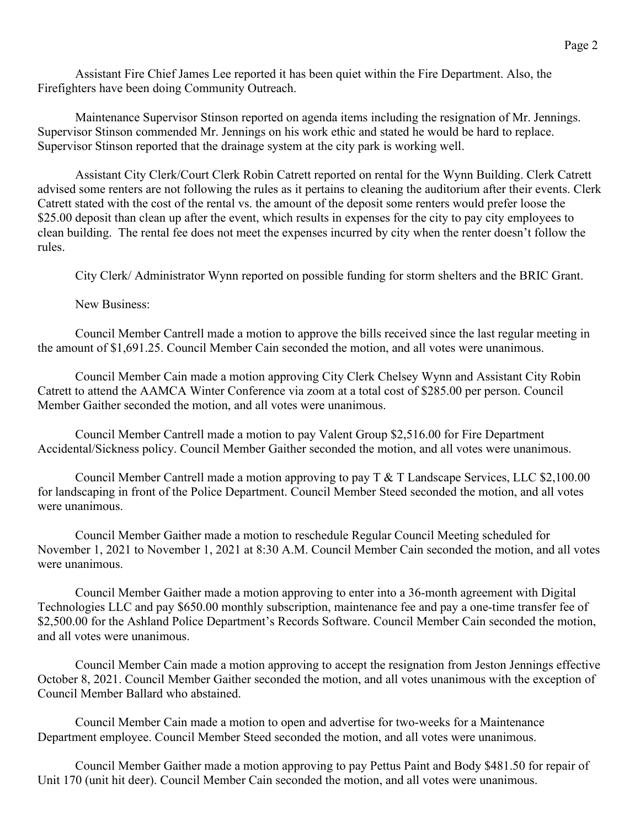Assistant Fire Chief James Lee reported it has been quiet within the Fire Department. Also, the Firefighters have been doing Community Outreach.

Maintenance Supervisor Stinson reported on agenda items including the resignation of Mr. Jennings. Supervisor Stinson commended Mr. Jennings on his work ethic and stated he would be hard to replace. Supervisor Stinson reported that the drainage system at the city park is working well.

Assistant City Clerk/Court Clerk Robin Catrett reported on rental for the Wynn Building. Clerk Catrett advised some renters are not following the rules as it pertains to cleaning the auditorium after their events. Clerk Catrett stated with the cost of the rental vs. the amount of the deposit some renters would prefer loose the \$25.00 deposit than clean up after the event, which results in expenses for the city to pay city employees to clean building. The rental fee does not meet the expenses incurred by city when the renter doesn't follow the rules.

City Clerk/ Administrator Wynn reported on possible funding for storm shelters and the BRIC Grant.

New Business:

Council Member Cantrell made a motion to approve the bills received since the last regular meeting in the amount of \$1,691.25. Council Member Cain seconded the motion, and all votes were unanimous.

Council Member Cain made a motion approving City Clerk Chelsey Wynn and Assistant City Robin Catrett to attend the AAMCA Winter Conference via zoom at a total cost of \$285.00 per person. Council Member Gaither seconded the motion, and all votes were unanimous.

Council Member Cantrell made a motion to pay Valent Group \$2,516.00 for Fire Department Accidental/Sickness policy. Council Member Gaither seconded the motion, and all votes were unanimous.

Council Member Cantrell made a motion approving to pay T & T Landscape Services, LLC \$2,100.00 for landscaping in front of the Police Department. Council Member Steed seconded the motion, and all votes were unanimous.

Council Member Gaither made a motion to reschedule Regular Council Meeting scheduled for November 1, 2021 to November 1, 2021 at 8:30 A.M. Council Member Cain seconded the motion, and all votes were unanimous.

Council Member Gaither made a motion approving to enter into a 36-month agreement with Digital Technologies LLC and pay \$650.00 monthly subscription, maintenance fee and pay a one-time transfer fee of \$2,500.00 for the Ashland Police Department's Records Software. Council Member Cain seconded the motion, and all votes were unanimous.

Council Member Cain made a motion approving to accept the resignation from Jeston Jennings effective October 8, 2021. Council Member Gaither seconded the motion, and all votes unanimous with the exception of Council Member Ballard who abstained.

Council Member Cain made a motion to open and advertise for two-weeks for a Maintenance Department employee. Council Member Steed seconded the motion, and all votes were unanimous.

Council Member Gaither made a motion approving to pay Pettus Paint and Body \$481.50 for repair of Unit 170 (unit hit deer). Council Member Cain seconded the motion, and all votes were unanimous.